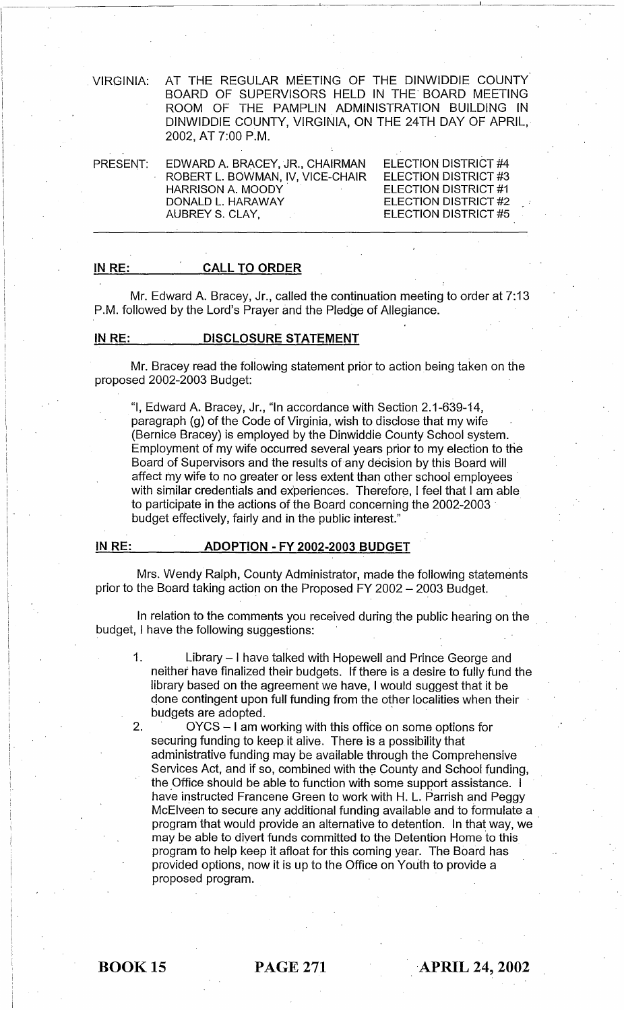VIRGINIA: AT THE REGULAR MEETING OF THE DINWIDDIE COUNTY BOARD OF SUPERVISORS HELD IN THE BOARD MEETING ROOM OF THE PAMPLIN ADMINISTRATION BUILDING IN DINWIDDIE COUNTY, VIRGINIA, ON THE 24TH DAY OF APRIL, 2002, AT 7:00 P.M.

| PRESENT: | EDWARD A. BRACEY, JR., CHAIRMAN  | ELECTION DISTRICT #4 |
|----------|----------------------------------|----------------------|
|          | ROBERT L. BOWMAN, IV, VICE-CHAIR | ELECTION DISTRICT #3 |
|          | <b>HARRISON A. MOODY</b>         | ELECTION DISTRICT #1 |
|          | DONALD L. HARAWAY                | ELECTION DISTRICT #2 |
|          | AUBREY S. CLAY,                  | ELECTION DISTRICT #5 |
|          |                                  |                      |

#### IN RE: CALL TO ORDER

Mr. Edward A. Bracey, Jr., called the continuation meeting to order at 7:13 P.M. followed by the Lord's Prayer and the Pledge of Allegiance.

## IN RE: DISCLOSURE STATEMENT

Mr. Bracey read the following statement prior to action being taken on the proposed 2002-2003 Budget: .

"I, Edward A. Bracey, Jr., "In accordance with Section 2.1-639-14, paragraph (g) of the Code of Virginia, wish to disclose that my wife (Bernice Bracey) is employed by the Dinwiddie County School system. Employment of my wife occurred several years prior to my election to the Board of Supervisors and the results of any decision by this Board will affect my wife to no greater or less extent than other school employees' with similar credentials and experiences. Therefore, I feel that I am able to participate in the actions of the Board concerning the 2002-2003 . budget effectively, fairly and in the public interest."

#### IN RE: ADOPTION - FY 2002-2003 BUDGET

Mrs. Wendy Ralph, County Administrator, made the following statements prior to the Board taking action on the Proposed FY 2002 - 2003 Budget.

In relation to the comments you received during the public hearing on the budget, I have the following suggestions: .

- 1. Library I have talked with Hopewell and Prince George and neither have finalized their budgets. If there is a desire to fully fund the library based on the agreement we have, I would suggest that it be done contingent upon full funding from the other localities when their budgets are adopted. '
- 2. OYCS I am working with this office on some options for securing funding to keep it alive. There is a possibility that administrative funding may be available through the Comprehensive Services Act, and if so, combined with the County and School funding, the Office should be able to function with some support assistance. I have instructed Francene Green to work with H. L. Parrish and Peggy McElveen to secure any additional funding available and to formulate a program that would provide an alternative to detention. In that way, we may be able to divert funds committed to the Detention Home to this program to help keep it afloat for this coming year. The Board has provided options, now it is up to the Office on Youth to provide a proposed program.

i·

**BOOK 15 PAGE 271 APRIL 24, 2002**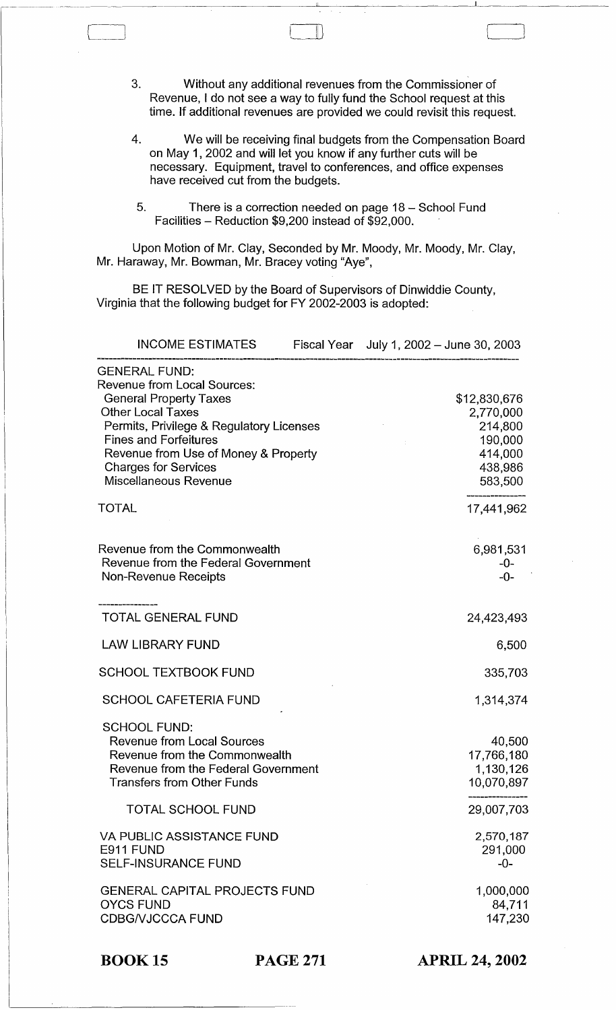3. Without any additional revenues from the Commissioner of Revenue, I do not see a way to fully fund the School request at this time. If additional revenues are provided we could revisit this request.

 $\Box$ 

- 4. We will be receiving final budgets from the Compensation Board on May 1, 2002 and will let you know if any further cuts will be necessary. Equipment, travel to conferences, and office expenses have received cut from the budgets.
- 5. There is a correction needed on page 18 School Fund Facilities - Reduction \$9,200 instead of \$92,000.

Upon Motion of Mr. Clay, Seconded by Mr. Moody, Mr. Moody, Mr. Clay, Mr. Haraway, Mr. Bowman, Mr. Bracey voting "Aye",

BE IT RESOLVED by the Board of Supervisors of Dinwiddie County, Virginia that the following budget for FY 2002-2003 is adopted:

| <b>INCOME ESTIMATES</b>                                                                                                                                                                                                                                                                             | Fiscal Year July 1, 2002 - June 30, 2003 |                                                                                  |
|-----------------------------------------------------------------------------------------------------------------------------------------------------------------------------------------------------------------------------------------------------------------------------------------------------|------------------------------------------|----------------------------------------------------------------------------------|
| <b>GENERAL FUND:</b><br><b>Revenue from Local Sources:</b><br><b>General Property Taxes</b><br><b>Other Local Taxes</b><br>Permits, Privilege & Regulatory Licenses<br><b>Fines and Forfeitures</b><br>Revenue from Use of Money & Property<br><b>Charges for Services</b><br>Miscellaneous Revenue |                                          | \$12,830,676<br>2,770,000<br>214,800<br>190,000<br>414,000<br>438,986<br>583,500 |
| <b>TOTAL</b>                                                                                                                                                                                                                                                                                        |                                          | 17,441,962                                                                       |
| Revenue from the Commonwealth<br>Revenue from the Federal Government<br>Non-Revenue Receipts                                                                                                                                                                                                        |                                          | 6,981,531<br>-0-<br>$-0-$                                                        |
| <b>TOTAL GENERAL FUND</b>                                                                                                                                                                                                                                                                           |                                          | 24,423,493                                                                       |
| <b>LAW LIBRARY FUND</b>                                                                                                                                                                                                                                                                             |                                          | 6,500                                                                            |
| <b>SCHOOL TEXTBOOK FUND</b>                                                                                                                                                                                                                                                                         |                                          | 335,703                                                                          |
| <b>SCHOOL CAFETERIA FUND</b>                                                                                                                                                                                                                                                                        |                                          | 1,314,374                                                                        |
| <b>SCHOOL FUND:</b><br><b>Revenue from Local Sources</b><br>Revenue from the Commonwealth<br>Revenue from the Federal Government<br>Transfers from Other Funds                                                                                                                                      |                                          | 40,500<br>17,766,180<br>1,130,126<br>10,070,897                                  |
| <b>TOTAL SCHOOL FUND</b>                                                                                                                                                                                                                                                                            |                                          | 29,007,703                                                                       |
| <b>VA PUBLIC ASSISTANCE FUND</b><br>E911 FUND<br><b>SELF-INSURANCE FUND</b>                                                                                                                                                                                                                         |                                          | 2,570,187<br>291,000<br>$-0-$                                                    |
| <b>GENERAL CAPITAL PROJECTS FUND</b><br><b>OYCS FUND</b><br><b>CDBG/VJCCCA FUND</b>                                                                                                                                                                                                                 |                                          | 1,000,000<br>84,711<br>147,230                                                   |

BOOK 15 PAGE 271

APRIL 24, 2002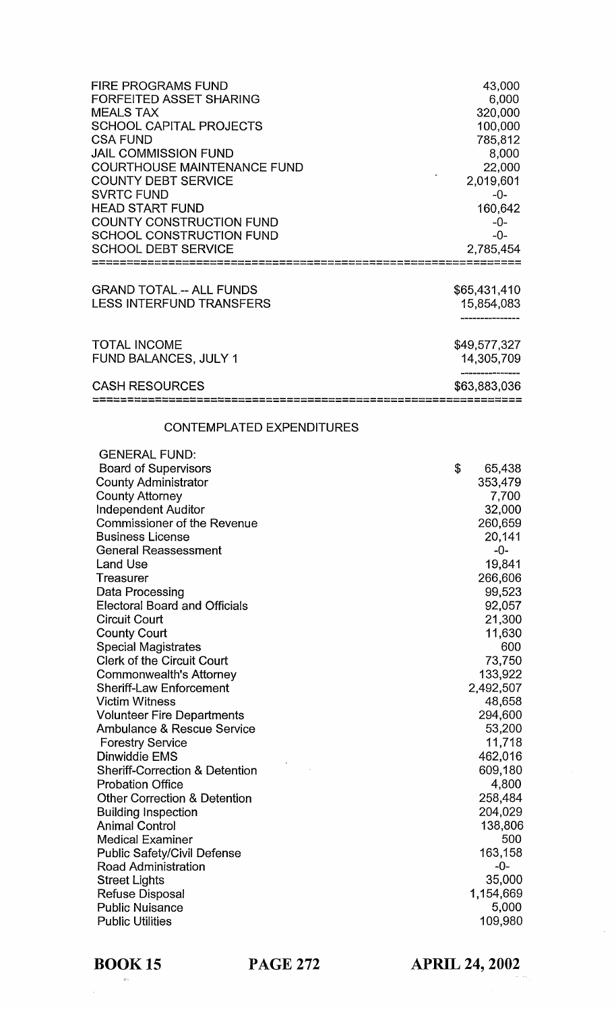| <b>FIRE PROGRAMS FUND</b>                                  | 43,000       |
|------------------------------------------------------------|--------------|
| <b>FORFEITED ASSET SHARING</b>                             | 6,000        |
| <b>MEALS TAX</b>                                           | 320,000      |
| <b>SCHOOL CAPITAL PROJECTS</b>                             | 100,000      |
| <b>CSA FUND</b>                                            | 785,812      |
| <b>JAIL COMMISSION FUND</b>                                | 8,000        |
| <b>COURTHOUSE MAINTENANCE FUND</b>                         | 22,000       |
| <b>COUNTY DEBT SERVICE</b>                                 | 2,019,601    |
| <b>SVRTC FUND</b>                                          | -0-          |
| <b>HEAD START FUND</b>                                     | 160,642      |
| <b>COUNTY CONSTRUCTION FUND</b>                            | $-0-$        |
| <b>SCHOOL CONSTRUCTION FUND</b>                            | $-0-$        |
| <b>SCHOOL DEBT SERVICE</b>                                 | 2,785,454    |
|                                                            |              |
| <b>GRAND TOTAL .-- ALL FUNDS</b>                           | \$65,431,410 |
| <b>LESS INTERFUND TRANSFERS</b>                            | 15,854,083   |
|                                                            |              |
| <b>TOTAL INCOME</b>                                        | \$49,577,327 |
| <b>FUND BALANCES, JULY 1</b>                               | 14,305,709   |
| <b>CASH RESOURCES</b>                                      | \$63,883,036 |
| 드랜드드드(블로드)를 드드는 블로드 프로그 프로그 프로그 프로그 프로그 등도 프로그 프로그 프로그 프로그 |              |

# CONTEMPLATED EXPENDITURES

| <b>GENERAL FUND:</b>                      |              |
|-------------------------------------------|--------------|
| <b>Board of Supervisors</b>               | \$<br>65,438 |
| <b>County Administrator</b>               | 353,479      |
| <b>County Attorney</b>                    | 7,700        |
| <b>Independent Auditor</b>                | 32,000       |
| <b>Commissioner of the Revenue</b>        | 260,659      |
| <b>Business License</b>                   | 20,141       |
| <b>General Reassessment</b>               | -0-          |
| <b>Land Use</b>                           | 19,841       |
| Treasurer                                 | 266,606      |
| Data Processing                           | 99,523       |
| <b>Electoral Board and Officials</b>      | 92,057       |
| <b>Circuit Court</b>                      | 21,300       |
| <b>County Court</b>                       | 11,630       |
| <b>Special Magistrates</b>                | 600          |
| <b>Clerk of the Circuit Court</b>         | 73,750       |
| <b>Commonwealth's Attorney</b>            | 133,922      |
| <b>Sheriff-Law Enforcement</b>            | 2,492,507    |
| <b>Victim Witness</b>                     | 48,658       |
| <b>Volunteer Fire Departments</b>         | 294,600      |
| <b>Ambulance &amp; Rescue Service</b>     | 53,200       |
| <b>Forestry Service</b>                   | 11,718       |
| Dinwiddie EMS                             | 462,016      |
| <b>Sheriff-Correction &amp; Detention</b> | 609,180      |
| <b>Probation Office</b>                   | 4,800        |
| <b>Other Correction &amp; Detention</b>   | 258,484      |
| <b>Building Inspection</b>                | 204,029      |
| <b>Animal Control</b>                     | 138,806      |
| <b>Medical Examiner</b>                   | 500          |
| <b>Public Safety/Civil Defense</b>        | 163,158      |
| <b>Road Administration</b>                | -0-          |
| <b>Street Lights</b>                      | 35,000       |
| Refuse Disposal                           | 1,154,669    |
| <b>Public Nuisance</b>                    | 5,000        |
| <b>Public Utilities</b>                   | 109,980      |
|                                           |              |

BOOK 15 **PAGE 272** 

**APRIL 24, 2002**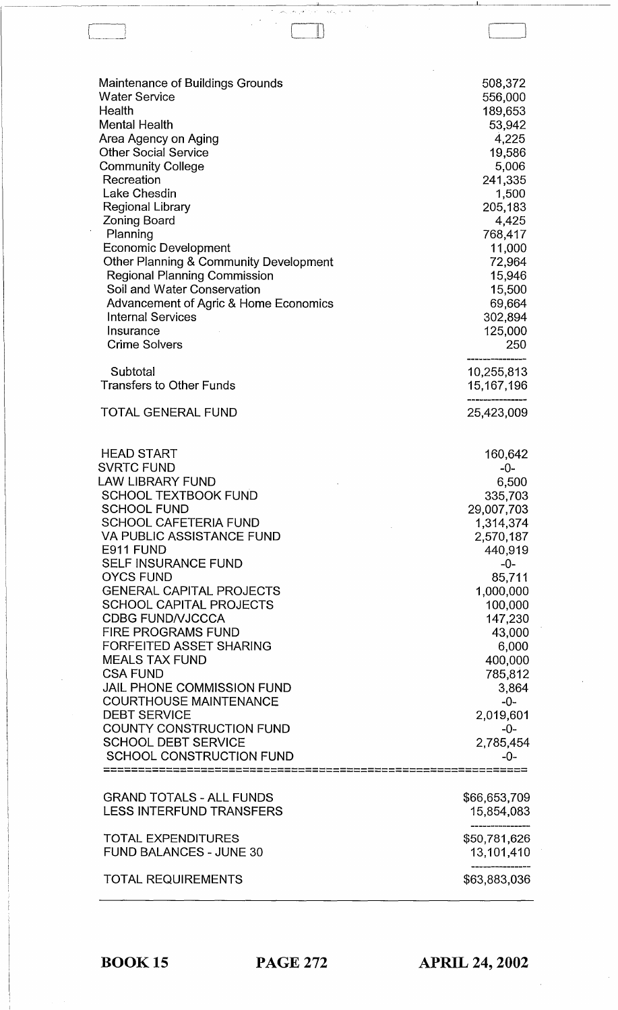| Maintenance of Buildings Grounds                                                                                                                                                                                                                                                                                                                                                                                                                                                                                                                                                                                                                               | 508,372                                                                                                                                                                                                                                          |
|----------------------------------------------------------------------------------------------------------------------------------------------------------------------------------------------------------------------------------------------------------------------------------------------------------------------------------------------------------------------------------------------------------------------------------------------------------------------------------------------------------------------------------------------------------------------------------------------------------------------------------------------------------------|--------------------------------------------------------------------------------------------------------------------------------------------------------------------------------------------------------------------------------------------------|
| <b>Water Service</b>                                                                                                                                                                                                                                                                                                                                                                                                                                                                                                                                                                                                                                           | 556,000                                                                                                                                                                                                                                          |
| Health                                                                                                                                                                                                                                                                                                                                                                                                                                                                                                                                                                                                                                                         | 189,653                                                                                                                                                                                                                                          |
| <b>Mental Health</b>                                                                                                                                                                                                                                                                                                                                                                                                                                                                                                                                                                                                                                           | 53,942                                                                                                                                                                                                                                           |
| Area Agency on Aging                                                                                                                                                                                                                                                                                                                                                                                                                                                                                                                                                                                                                                           | 4,225                                                                                                                                                                                                                                            |
| <b>Other Social Service</b>                                                                                                                                                                                                                                                                                                                                                                                                                                                                                                                                                                                                                                    | 19,586                                                                                                                                                                                                                                           |
| <b>Community College</b>                                                                                                                                                                                                                                                                                                                                                                                                                                                                                                                                                                                                                                       | 5,006                                                                                                                                                                                                                                            |
| Recreation                                                                                                                                                                                                                                                                                                                                                                                                                                                                                                                                                                                                                                                     | 241,335                                                                                                                                                                                                                                          |
| Lake Chesdin                                                                                                                                                                                                                                                                                                                                                                                                                                                                                                                                                                                                                                                   | 1,500                                                                                                                                                                                                                                            |
| <b>Regional Library</b>                                                                                                                                                                                                                                                                                                                                                                                                                                                                                                                                                                                                                                        | 205,183                                                                                                                                                                                                                                          |
| <b>Zoning Board</b>                                                                                                                                                                                                                                                                                                                                                                                                                                                                                                                                                                                                                                            | 4,425                                                                                                                                                                                                                                            |
| Planning                                                                                                                                                                                                                                                                                                                                                                                                                                                                                                                                                                                                                                                       | 768,417                                                                                                                                                                                                                                          |
| <b>Economic Development</b>                                                                                                                                                                                                                                                                                                                                                                                                                                                                                                                                                                                                                                    | 11,000                                                                                                                                                                                                                                           |
| <b>Other Planning &amp; Community Development</b>                                                                                                                                                                                                                                                                                                                                                                                                                                                                                                                                                                                                              | 72,964                                                                                                                                                                                                                                           |
| <b>Regional Planning Commission</b>                                                                                                                                                                                                                                                                                                                                                                                                                                                                                                                                                                                                                            | 15,946                                                                                                                                                                                                                                           |
| Soil and Water Conservation                                                                                                                                                                                                                                                                                                                                                                                                                                                                                                                                                                                                                                    | 15,500                                                                                                                                                                                                                                           |
| Advancement of Agric & Home Economics                                                                                                                                                                                                                                                                                                                                                                                                                                                                                                                                                                                                                          | 69,664                                                                                                                                                                                                                                           |
| <b>Internal Services</b>                                                                                                                                                                                                                                                                                                                                                                                                                                                                                                                                                                                                                                       | 302,894                                                                                                                                                                                                                                          |
| Insurance                                                                                                                                                                                                                                                                                                                                                                                                                                                                                                                                                                                                                                                      | 125,000                                                                                                                                                                                                                                          |
| <b>Crime Solvers</b>                                                                                                                                                                                                                                                                                                                                                                                                                                                                                                                                                                                                                                           | 250                                                                                                                                                                                                                                              |
| Subtotal                                                                                                                                                                                                                                                                                                                                                                                                                                                                                                                                                                                                                                                       | 10,255,813                                                                                                                                                                                                                                       |
| <b>Transfers to Other Funds</b>                                                                                                                                                                                                                                                                                                                                                                                                                                                                                                                                                                                                                                | 15,167,196                                                                                                                                                                                                                                       |
| <b>TOTAL GENERAL FUND</b>                                                                                                                                                                                                                                                                                                                                                                                                                                                                                                                                                                                                                                      | 25,423,009                                                                                                                                                                                                                                       |
| <b>HEAD START</b><br><b>SVRTC FUND</b><br><b>LAW LIBRARY FUND</b><br><b>SCHOOL TEXTBOOK FUND</b><br><b>SCHOOL FUND</b><br><b>SCHOOL CAFETERIA FUND</b><br><b>VA PUBLIC ASSISTANCE FUND</b><br>E911 FUND<br><b>SELF INSURANCE FUND</b><br><b>OYCS FUND</b><br><b>GENERAL CAPITAL PROJECTS</b><br><b>SCHOOL CAPITAL PROJECTS</b><br><b>CDBG FUND/VJCCCA</b><br><b>FIRE PROGRAMS FUND</b><br><b>FORFEITED ASSET SHARING</b><br><b>MEALS TAX FUND</b><br><b>CSA FUND</b><br>JAIL PHONE COMMISSION FUND<br><b>COURTHOUSE MAINTENANCE</b><br><b>DEBT SERVICE</b><br><b>COUNTY CONSTRUCTION FUND</b><br><b>SCHOOL DEBT SERVICE</b><br><b>SCHOOL CONSTRUCTION FUND</b> | 160,642<br>-0-<br>6,500<br>335,703<br>29,007,703<br>1,314,374<br>2,570,187<br>440,919<br>$-0-$<br>85,711<br>1,000,000<br>100,000<br>147,230<br>43,000<br>6,000<br>400,000<br>785,812<br>3,864<br>$-0-$<br>2,019,601<br>$-0-$<br>2,785,454<br>-∩- |
| <b>GRAND TOTALS - ALL FUNDS</b>                                                                                                                                                                                                                                                                                                                                                                                                                                                                                                                                                                                                                                | \$66,653,709                                                                                                                                                                                                                                     |
| <b>LESS INTERFUND TRANSFERS</b>                                                                                                                                                                                                                                                                                                                                                                                                                                                                                                                                                                                                                                | 15,854,083                                                                                                                                                                                                                                       |
| <b>TOTAL EXPENDITURES</b>                                                                                                                                                                                                                                                                                                                                                                                                                                                                                                                                                                                                                                      | \$50,781,626                                                                                                                                                                                                                                     |
| <b>FUND BALANCES - JUNE 30</b>                                                                                                                                                                                                                                                                                                                                                                                                                                                                                                                                                                                                                                 | 13,101,410                                                                                                                                                                                                                                       |
| <b>TOTAL REQUIREMENTS</b>                                                                                                                                                                                                                                                                                                                                                                                                                                                                                                                                                                                                                                      | ----------<br>\$63,883,036                                                                                                                                                                                                                       |

 $\Box$ 

BOOK 15 PAGE 272

**APRIL 24, 2002**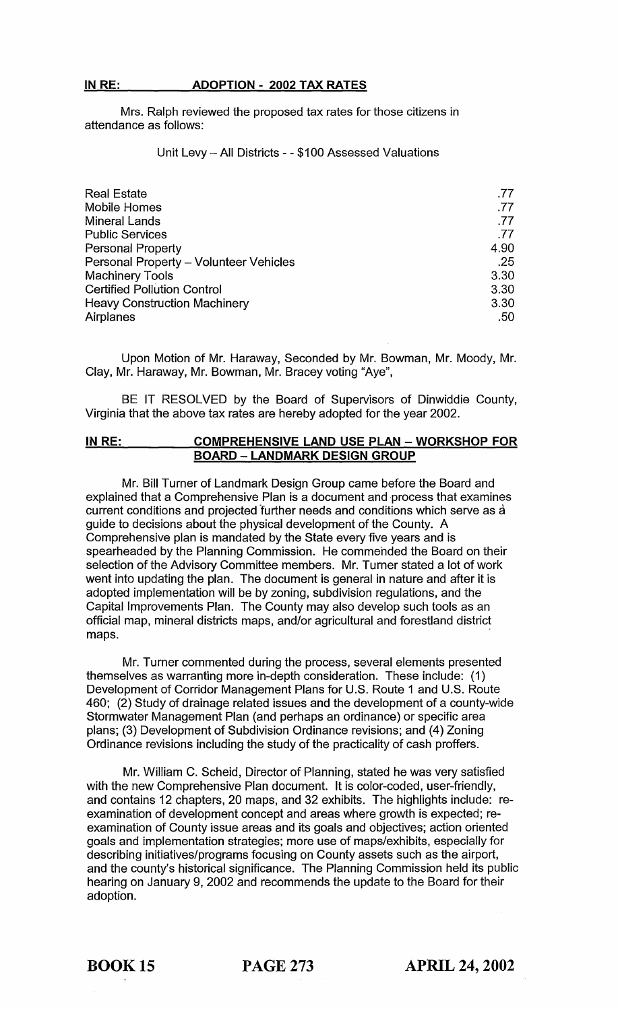## **INRE: ADOPTION - 2002 TAX RATES**

Mrs. Ralph reviewed the proposed tax rates for those citizens in attendance as follows:

### Unit Levy - All Districts - - \$100 Assessed Valuations

| <b>Real Estate</b>                     | .77  |
|----------------------------------------|------|
| <b>Mobile Homes</b>                    | .77  |
| <b>Mineral Lands</b>                   | .77  |
| <b>Public Services</b>                 | .77  |
| Personal Property                      | 4.90 |
| Personal Property - Volunteer Vehicles | .25  |
| <b>Machinery Tools</b>                 | 3.30 |
| <b>Certified Pollution Control</b>     | 3.30 |
| <b>Heavy Construction Machinery</b>    | 3.30 |
| Airplanes                              | .50  |

Upon Motion of Mr. Haraway, Seconded by Mr. Bowman, Mr. Moody, Mr. Clay, Mr. Haraway, Mr. Bowman, Mr. Bracey voting "Aye",

BE IT RESOLVED by the Board of Supervisors of Dinwiddie County, Virginia that the above tax rates are hereby adopted for the year 2002.

#### **INRE: COMPREHENSIVE LAND USE PLAN - WORKSHOP FOR BOARD - LANDMARK DESIGN GROUP**

Mr. Bill Turner of Landmark Design Group came before the Board and explained that a Comprehensive Plan is a document and process that examines current conditions and projected further needs and conditions which serve as a guide to decisions about the physical development of the County. A Comprehensive plan is mandated by the State every five years and is spearheaded by the Planning Commission. He commended the Board on their selection of the Advisory Committee members. Mr. Turner stated a lot of work went into updating the plan. The document is general in nature and after it is adopted implementation will be by zoning, subdivision regulations, and the Capital Improvements Plan. The County may also develop such tools as an official map, mineral districts maps, and/or agricultural and forestland district maps.

Mr. Turner commented during the process, several elements presented themselves as warranting more in-depth consideration. These include: (1) Development of Corridor Management Plans for U.S. Route 1 and U.S. Route 460; (2) Study of drainage related issues and the development of a county-wide Stormwater Management Plan (and perhaps an ordinance) or specific area plans; (3) Development of Subdivision Ordinance revisions; and (4) Zoning Ordinance revisions including the study of the practicality of cash proffers.

Mr. William C. Scheid, Director of Planning, stated he was very satisfied with the new Comprehensive Plan document. It is color-coded, user-friendly, and contains 12 chapters, 20 maps, and 32 exhibits. The highlights include: reexamination of development concept and areas where growth is expected; reexamination of County issue areas and its goals and objectives; action oriented goals and implementation strategies; more use of maps/exhibits, especially for describing initiatives/programs focusing on County assets such as the airport, and the county's historical significance. The Planning Commission held its public hearing on January 9, 2002 and recommends the update to the Board for their adoption.